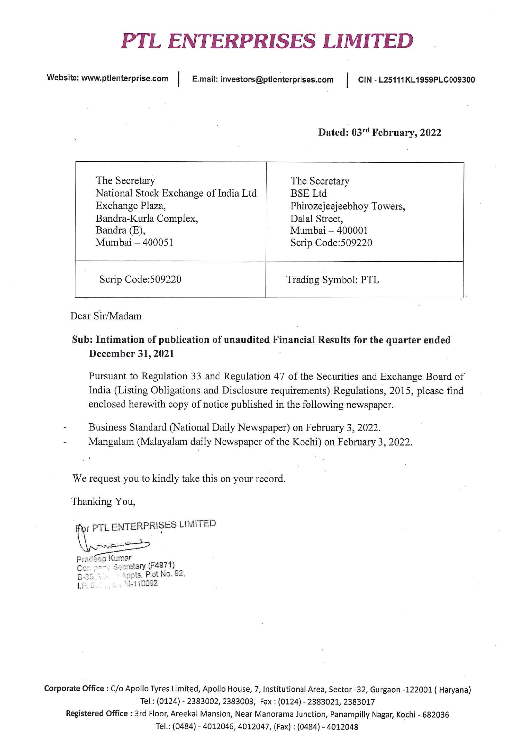## PTL ENTERPRISES LIMITED

Website: www.ptlenterprise.com | E.mail: investors@ptlenterprises.com | CIN - L25111KL1959PLC009300

## Dated: 03rd February, 2022

| The Secretary<br>National Stock Exchange of India Ltd<br>Exchange Plaza,<br>Bandra-Kurla Complex,<br>Bandra (E),<br>Mumbai - 400051 | The Secretary<br><b>BSE</b> Ltd<br>Phirozejeejeebhoy Towers,<br>Dalal Street,<br>Mumbai - 400001<br>Scrip Code:509220 |  |
|-------------------------------------------------------------------------------------------------------------------------------------|-----------------------------------------------------------------------------------------------------------------------|--|
| Scrip Code:509220                                                                                                                   | Trading Symbol: PTL                                                                                                   |  |

Dear Sir/Madam

## Sub: Intimation of publication of unaudited Financial Results for the quarter ended December 31, 2021

Pursuant to Regulation 33 and Regulation 47 of the Securities and Exchange Board of India (Listing Obligations and Disclosure requirements) Regulations, 2015, please find enclosed herewith copy of notice published in the following newspaper.

- Business Standard (National Daily Newspaper) on February 3, 2022.
- Mangalam (Malayalam daily Newspaper of the Kochi) on February 3, 2022.

We request you to kindly take this on your record.

Thanking You,

 $\gamma$ r PTL ENTERPRISES LIMITED

 $\bigwedge$ Pradeep Kumar<br>Company Secretary (F4971) Company Secretary (F4971)<br>B-39: Vis. - Appts. Plot No. 92 1.P. E.C., Le hi-110092

Corporate Office: C/o Apollo Tyres Limited, Apollo House, 7, Institutional Area, Sector -32, Gurgaon -122001 ( Haryana) Tel.: (0124) • 2383002, 2383003, Fax: (0124) - 2383021, <sup>2383017</sup>

Registered Office : 3rd Floor, Areekal Mansion, Near Manorama Junction, Panampilly Nagar, Kochi - <sup>682036</sup> Tel.: (0484) • 4012046, 4012047, (Fax): (0484) - <sup>4012048</sup>